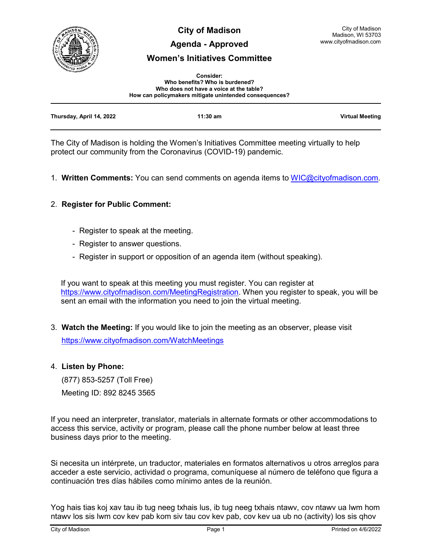

**City of Madison**

### **Agenda - Approved**

# **Women's Initiatives Committee**

| <b>Consider:</b>                                       |  |  |
|--------------------------------------------------------|--|--|
| Who benefits? Who is burdened?                         |  |  |
| Who does not have a voice at the table?                |  |  |
| How can policymakers mitigate unintended consequences? |  |  |

| Thursday, April 14, 2022 | $11:30$ am | <b>Virtual Meeting</b> |
|--------------------------|------------|------------------------|
|                          |            |                        |

The City of Madison is holding the Women's Initiatives Committee meeting virtually to help protect our community from the Coronavirus (COVID-19) pandemic.

1. **Written Comments:** You can send comments on agenda items to [WIC@cityofmadison.com.](mailto:WIC@cityofmadison.com)

## 2. **Register for Public Comment:**

- Register to speak at the meeting.
- Register to answer questions.
- Register in support or opposition of an agenda item (without speaking).

If you want to speak at this meeting you must register. You can register at [https://www.cityofmadison.com/MeetingRegistration.](https://www.cityofmadison.com/MeetingRegistration) When you register to speak, you will be sent an email with the information you need to join the virtual meeting.

3. **Watch the Meeting:** If you would like to join the meeting as an observer, please visit <https://www.cityofmadison.com/WatchMeetings>

### 4. **Listen by Phone:**

 (877) 853-5257 (Toll Free) Meeting ID: 892 8245 3565

If you need an interpreter, translator, materials in alternate formats or other accommodations to access this service, activity or program, please call the phone number below at least three business days prior to the meeting.

Si necesita un intérprete, un traductor, materiales en formatos alternativos u otros arreglos para acceder a este servicio, actividad o programa, comuníquese al número de teléfono que figura a continuación tres días hábiles como mínimo antes de la reunión.

Yog hais tias koj xav tau ib tug neeg txhais lus, ib tug neeg txhais ntawv, cov ntawv ua lwm hom ntawv los sis lwm cov kev pab kom siv tau cov kev pab, cov kev ua ub no (activity) los sis qhov